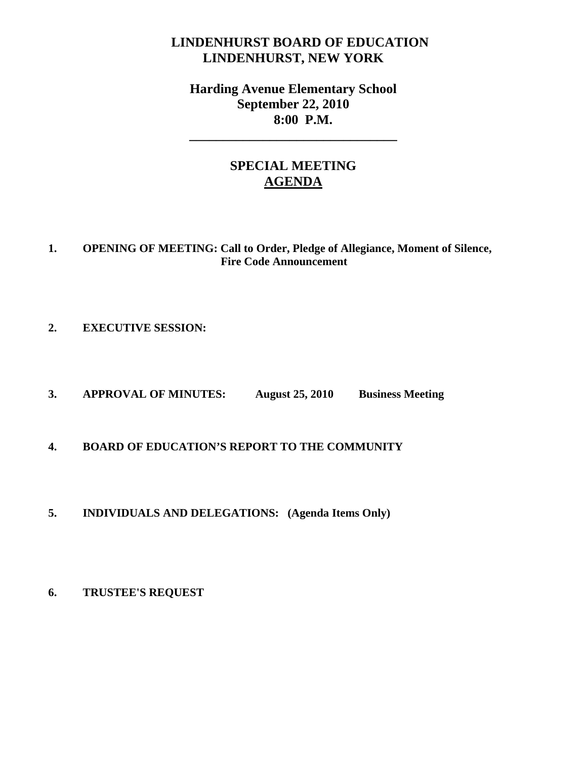# **LINDENHURST BOARD OF EDUCATION LINDENHURST, NEW YORK**

# **Harding Avenue Elementary School September 22, 2010 8:00 P.M.**

**\_\_\_\_\_\_\_\_\_\_\_\_\_\_\_\_\_\_\_\_\_\_\_\_\_\_\_\_\_\_\_** 

# **SPECIAL MEETING AGENDA**

## **1. OPENING OF MEETING: Call to Order, Pledge of Allegiance, Moment of Silence, Fire Code Announcement**

## **2. EXECUTIVE SESSION:**

**3. APPROVAL OF MINUTES: August 25, 2010 Business Meeting** 

## **4. BOARD OF EDUCATION'S REPORT TO THE COMMUNITY**

**5. INDIVIDUALS AND DELEGATIONS: (Agenda Items Only)** 

#### **6. TRUSTEE'S REQUEST**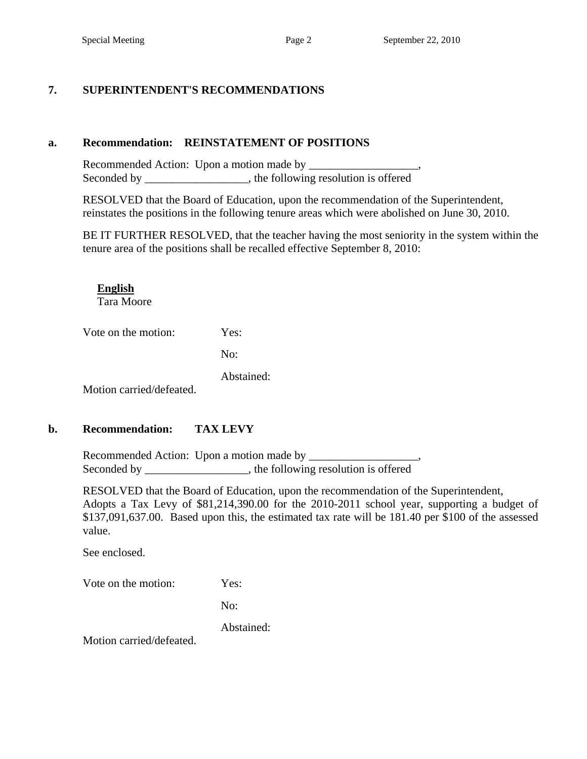## **7. SUPERINTENDENT'S RECOMMENDATIONS**

#### **a. Recommendation: REINSTATEMENT OF POSITIONS**

 Recommended Action: Upon a motion made by \_\_\_\_\_\_\_\_\_\_\_\_\_\_\_\_\_\_\_, Seconded by \_\_\_\_\_\_\_\_\_\_\_\_\_\_\_, the following resolution is offered

RESOLVED that the Board of Education, upon the recommendation of the Superintendent, reinstates the positions in the following tenure areas which were abolished on June 30, 2010.

BE IT FURTHER RESOLVED, that the teacher having the most seniority in the system within the tenure area of the positions shall be recalled effective September 8, 2010:

**English** 

Tara Moore

Vote on the motion: Yes:

No:

Abstained:

Motion carried/defeated.

## **b. Recommendation: TAX LEVY**

 Recommended Action: Upon a motion made by \_\_\_\_\_\_\_\_\_\_\_\_\_\_\_\_\_\_\_, Seconded by \_\_\_\_\_\_\_\_\_\_\_\_\_\_\_\_\_, the following resolution is offered

RESOLVED that the Board of Education, upon the recommendation of the Superintendent, Adopts a Tax Levy of \$81,214,390.00 for the 2010-2011 school year, supporting a budget of \$137,091,637.00. Based upon this, the estimated tax rate will be 181.40 per \$100 of the assessed value.

See enclosed.

Vote on the motion: Yes:

No:

Abstained:

Motion carried/defeated.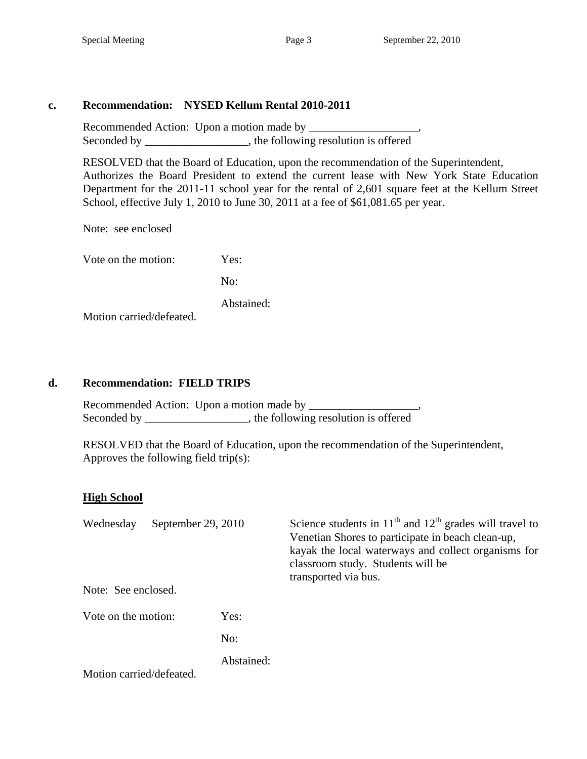### **c. Recommendation: NYSED Kellum Rental 2010-2011**

 Recommended Action: Upon a motion made by \_\_\_\_\_\_\_\_\_\_\_\_\_\_\_\_\_\_\_, Seconded by \_\_\_\_\_\_\_\_\_\_\_\_\_\_\_\_, the following resolution is offered

RESOLVED that the Board of Education, upon the recommendation of the Superintendent, Authorizes the Board President to extend the current lease with New York State Education Department for the 2011-11 school year for the rental of 2,601 square feet at the Kellum Street School, effective July 1, 2010 to June 30, 2011 at a fee of \$61,081.65 per year.

Note: see enclosed

Vote on the motion: Yes:

No:

Abstained:

Motion carried/defeated.

#### **d. Recommendation: FIELD TRIPS**

Recommended Action: Upon a motion made by \_\_\_\_\_\_\_\_\_\_\_\_\_\_\_ Seconded by \_\_\_\_\_\_\_\_\_\_\_\_\_\_\_, the following resolution is offered

 RESOLVED that the Board of Education, upon the recommendation of the Superintendent, Approves the following field trip(s):

#### **High School**

| September 29, 2010<br>Wednesday<br>Note: See enclosed. |            | Science students in $11th$ and $12th$ grades will travel to<br>Venetian Shores to participate in beach clean-up,<br>kayak the local waterways and collect organisms for<br>classroom study. Students will be<br>transported via bus. |
|--------------------------------------------------------|------------|--------------------------------------------------------------------------------------------------------------------------------------------------------------------------------------------------------------------------------------|
| Vote on the motion:                                    | Yes:       |                                                                                                                                                                                                                                      |
|                                                        | No:        |                                                                                                                                                                                                                                      |
| Motion carried/defeated.                               | Abstained: |                                                                                                                                                                                                                                      |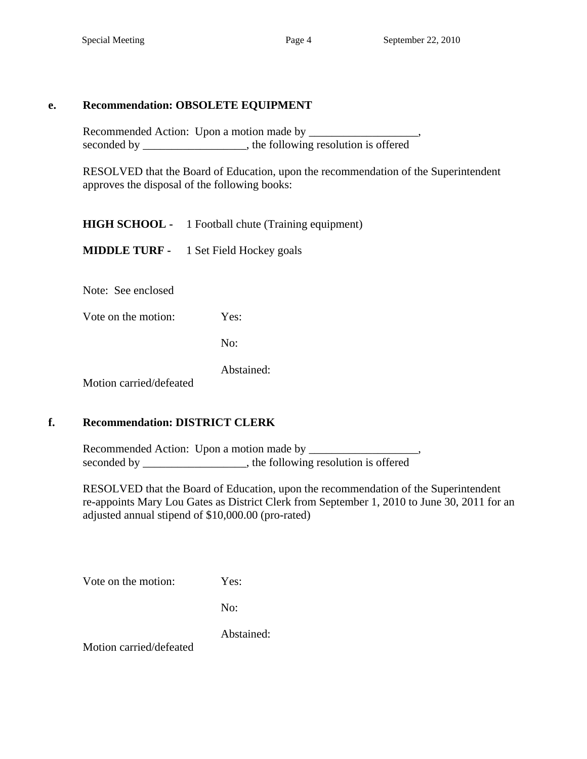#### **e. Recommendation: OBSOLETE EQUIPMENT**

Recommended Action: Upon a motion made by seconded by \_\_\_\_\_\_\_\_\_\_\_\_\_\_\_, the following resolution is offered

 RESOLVED that the Board of Education, upon the recommendation of the Superintendent approves the disposal of the following books:

 **HIGH SCHOOL -** 1 Football chute (Training equipment)

 **MIDDLE TURF -** 1 Set Field Hockey goals

Note: See enclosed

Vote on the motion: Yes:

No:

Abstained:

Motion carried/defeated

## **f. Recommendation: DISTRICT CLERK**

Recommended Action: Upon a motion made by \_\_\_\_\_\_\_\_\_\_\_\_\_\_\_\_\_\_\_, seconded by \_\_\_\_\_\_\_\_\_\_\_\_\_\_, the following resolution is offered

 RESOLVED that the Board of Education, upon the recommendation of the Superintendent re-appoints Mary Lou Gates as District Clerk from September 1, 2010 to June 30, 2011 for an adjusted annual stipend of \$10,000.00 (pro-rated)

Vote on the motion: Yes:

No:

Abstained:

Motion carried/defeated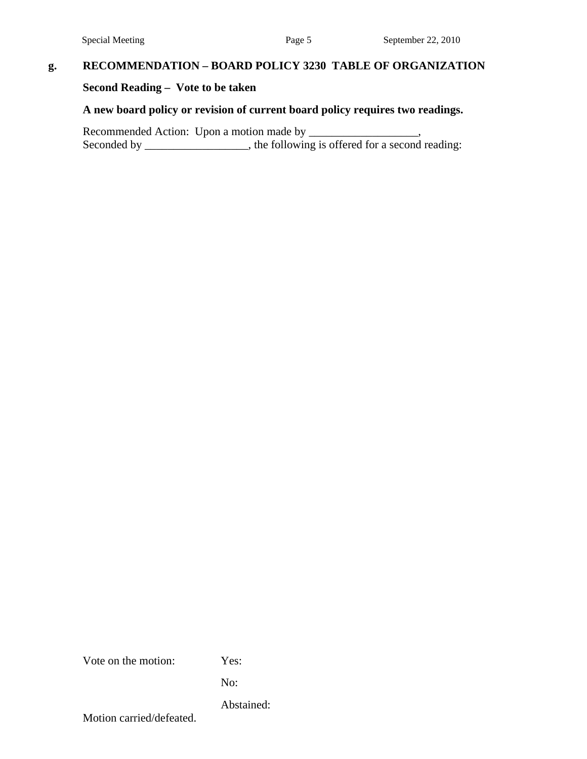## **g. RECOMMENDATION – BOARD POLICY 3230 TABLE OF ORGANIZATION**

### **Second Reading – Vote to be taken**

### **A new board policy or revision of current board policy requires two readings.**

Recommended Action: Upon a motion made by \_\_\_\_\_\_\_\_\_\_\_\_\_\_\_\_\_, Seconded by \_\_\_\_\_\_\_\_\_\_\_\_\_\_, the following is offered for a second reading:

Vote on the motion: Yes:

No:

Abstained:

Motion carried/defeated.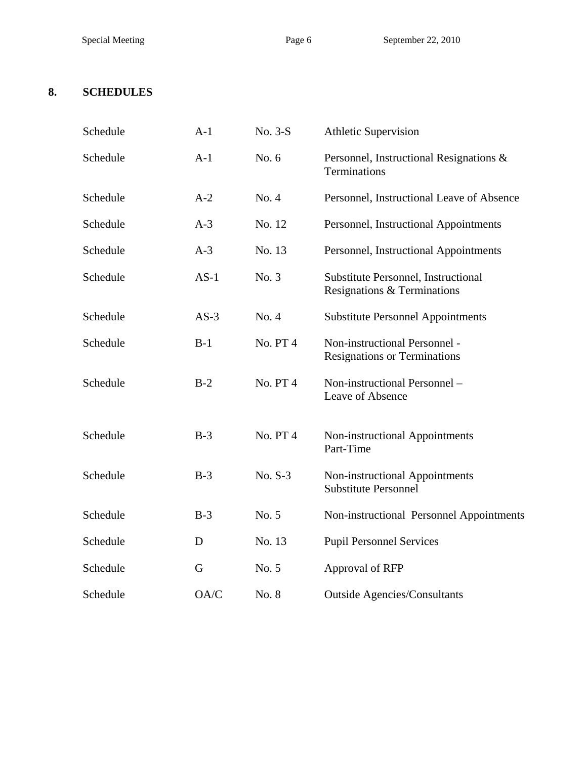# **8. SCHEDULES**

| Schedule | $A-1$  | No. 3-S         | <b>Athletic Supervision</b>                                          |
|----------|--------|-----------------|----------------------------------------------------------------------|
| Schedule | $A-1$  | No. 6           | Personnel, Instructional Resignations &<br>Terminations              |
| Schedule | $A-2$  | No. 4           | Personnel, Instructional Leave of Absence                            |
| Schedule | $A-3$  | No. 12          | Personnel, Instructional Appointments                                |
| Schedule | $A-3$  | No. 13          | Personnel, Instructional Appointments                                |
| Schedule | $AS-1$ | No. 3           | Substitute Personnel, Instructional<br>Resignations & Terminations   |
| Schedule | $AS-3$ | No. 4           | <b>Substitute Personnel Appointments</b>                             |
| Schedule | $B-1$  | <b>No. PT4</b>  | Non-instructional Personnel -<br><b>Resignations or Terminations</b> |
| Schedule | $B-2$  | <b>No. PT4</b>  | Non-instructional Personnel -<br>Leave of Absence                    |
| Schedule | $B-3$  | <b>No. PT 4</b> | Non-instructional Appointments<br>Part-Time                          |
| Schedule | $B-3$  | No. S-3         | Non-instructional Appointments<br><b>Substitute Personnel</b>        |
| Schedule | $B-3$  | No. 5           | Non-instructional Personnel Appointments                             |
| Schedule | D      | No. 13          | <b>Pupil Personnel Services</b>                                      |
| Schedule | G      | No. 5           | Approval of RFP                                                      |
| Schedule | OA/C   | No. 8           | <b>Outside Agencies/Consultants</b>                                  |